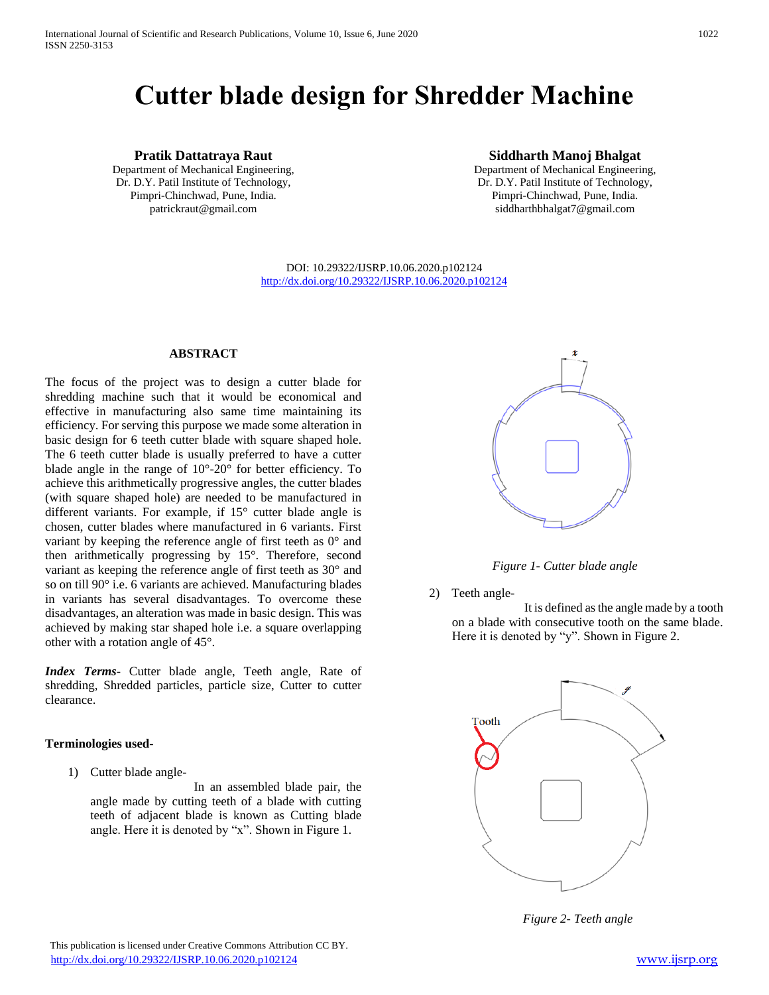# **Cutter blade design for Shredder Machine**

# **Pratik Dattatraya Raut**

Department of Mechanical Engineering, Dr. D.Y. Patil Institute of Technology, Pimpri-Chinchwad, Pune, India. patrickraut@gmail.com

# **Siddharth Manoj Bhalgat**

Department of Mechanical Engineering, Dr. D.Y. Patil Institute of Technology, Pimpri-Chinchwad, Pune, India. siddharthbhalgat7@gmail.com

DOI: 10.29322/IJSRP.10.06.2020.p102124 <http://dx.doi.org/10.29322/IJSRP.10.06.2020.p102124>

#### **ABSTRACT**

The focus of the project was to design a cutter blade for shredding machine such that it would be economical and effective in manufacturing also same time maintaining its efficiency. For serving this purpose we made some alteration in basic design for 6 teeth cutter blade with square shaped hole. The 6 teeth cutter blade is usually preferred to have a cutter blade angle in the range of 10°-20° for better efficiency. To achieve this arithmetically progressive angles, the cutter blades (with square shaped hole) are needed to be manufactured in different variants. For example, if 15° cutter blade angle is chosen, cutter blades where manufactured in 6 variants. First variant by keeping the reference angle of first teeth as 0° and then arithmetically progressing by 15°. Therefore, second variant as keeping the reference angle of first teeth as 30° and so on till 90° i.e. 6 variants are achieved. Manufacturing blades in variants has several disadvantages. To overcome these disadvantages, an alteration was made in basic design. This was achieved by making star shaped hole i.e. a square overlapping other with a rotation angle of 45°.

*Index Terms*- Cutter blade angle, Teeth angle, Rate of shredding, Shredded particles, particle size, Cutter to cutter clearance.

#### **Terminologies used**-

1) Cutter blade angle-

 In an assembled blade pair, the angle made by cutting teeth of a blade with cutting teeth of adjacent blade is known as Cutting blade angle. Here it is denoted by "x". Shown in Figure 1.



*Figure 1- Cutter blade angle*

2) Teeth angle-

 It is defined as the angle made by a tooth on a blade with consecutive tooth on the same blade. Here it is denoted by "y". Shown in Figure 2.



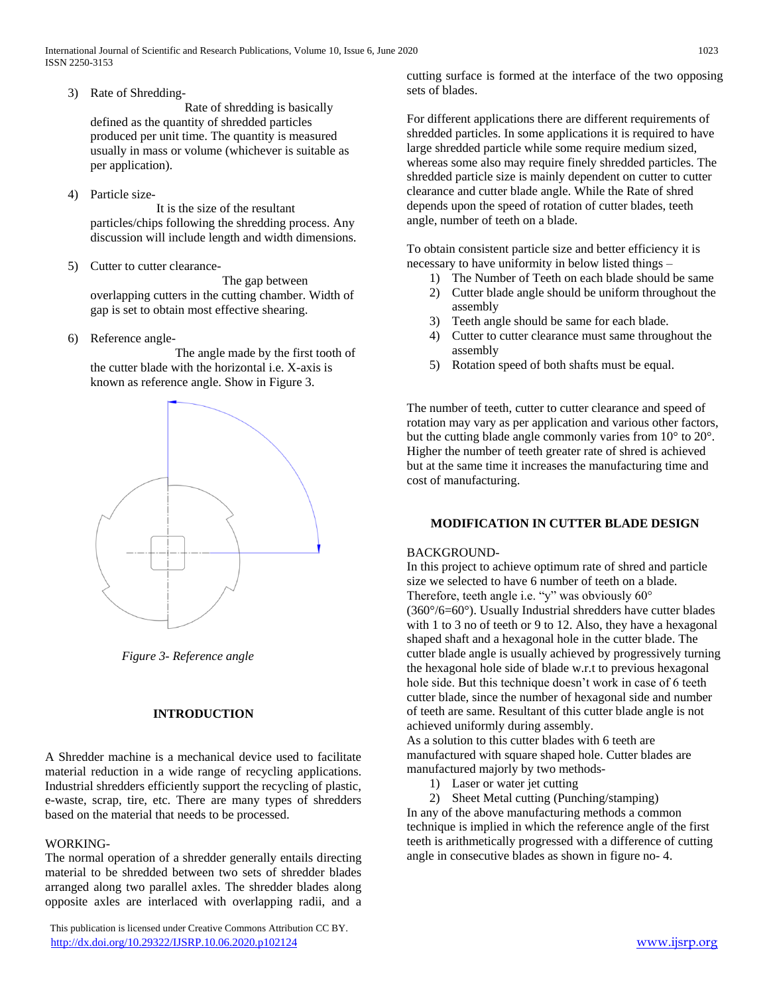3) Rate of Shredding-

 Rate of shredding is basically defined as the quantity of shredded particles produced per unit time. The quantity is measured usually in mass or volume (whichever is suitable as per application).

4) Particle size-

 It is the size of the resultant particles/chips following the shredding process. Any discussion will include length and width dimensions.

5) Cutter to cutter clearance-

 The gap between overlapping cutters in the cutting chamber. Width of gap is set to obtain most effective shearing.

6) Reference angle-

 The angle made by the first tooth of the cutter blade with the horizontal i.e. X-axis is known as reference angle. Show in Figure 3.



 *Figure 3- Reference angle*

# **INTRODUCTION**

A Shredder machine is a mechanical device used to facilitate material reduction in a wide range of recycling applications. Industrial shredders efficiently support the recycling of plastic, e-waste, scrap, tire, etc. There are many types of shredders based on the material that needs to be processed.

#### WORKING-

The normal operation of a shredder generally entails directing material to be shredded between two sets of shredder blades arranged along two parallel axles. The shredder blades along opposite axles are interlaced with overlapping radii, and a

 This publication is licensed under Creative Commons Attribution CC BY. <http://dx.doi.org/10.29322/IJSRP.10.06.2020.p102124> [www.ijsrp.org](http://ijsrp.org/)

cutting surface is formed at the interface of the two opposing sets of blades.

For different applications there are different requirements of shredded particles. In some applications it is required to have large shredded particle while some require medium sized, whereas some also may require finely shredded particles. The shredded particle size is mainly dependent on cutter to cutter clearance and cutter blade angle. While the Rate of shred depends upon the speed of rotation of cutter blades, teeth angle, number of teeth on a blade.

To obtain consistent particle size and better efficiency it is necessary to have uniformity in below listed things –

- 1) The Number of Teeth on each blade should be same
- 2) Cutter blade angle should be uniform throughout the assembly
- 3) Teeth angle should be same for each blade.
- 4) Cutter to cutter clearance must same throughout the assembly
- 5) Rotation speed of both shafts must be equal.

The number of teeth, cutter to cutter clearance and speed of rotation may vary as per application and various other factors, but the cutting blade angle commonly varies from 10° to 20°. Higher the number of teeth greater rate of shred is achieved but at the same time it increases the manufacturing time and cost of manufacturing.

#### **MODIFICATION IN CUTTER BLADE DESIGN**

#### BACKGROUND-

In this project to achieve optimum rate of shred and particle size we selected to have 6 number of teeth on a blade. Therefore, teeth angle i.e. "y" was obviously 60° (360°/6=60°). Usually Industrial shredders have cutter blades with 1 to 3 no of teeth or 9 to 12. Also, they have a hexagonal shaped shaft and a hexagonal hole in the cutter blade. The cutter blade angle is usually achieved by progressively turning the hexagonal hole side of blade w.r.t to previous hexagonal hole side. But this technique doesn't work in case of 6 teeth cutter blade, since the number of hexagonal side and number of teeth are same. Resultant of this cutter blade angle is not achieved uniformly during assembly.

As a solution to this cutter blades with 6 teeth are manufactured with square shaped hole. Cutter blades are manufactured majorly by two methods-

- 1) Laser or water jet cutting
- 2) Sheet Metal cutting (Punching/stamping)

In any of the above manufacturing methods a common technique is implied in which the reference angle of the first teeth is arithmetically progressed with a difference of cutting angle in consecutive blades as shown in figure no- 4.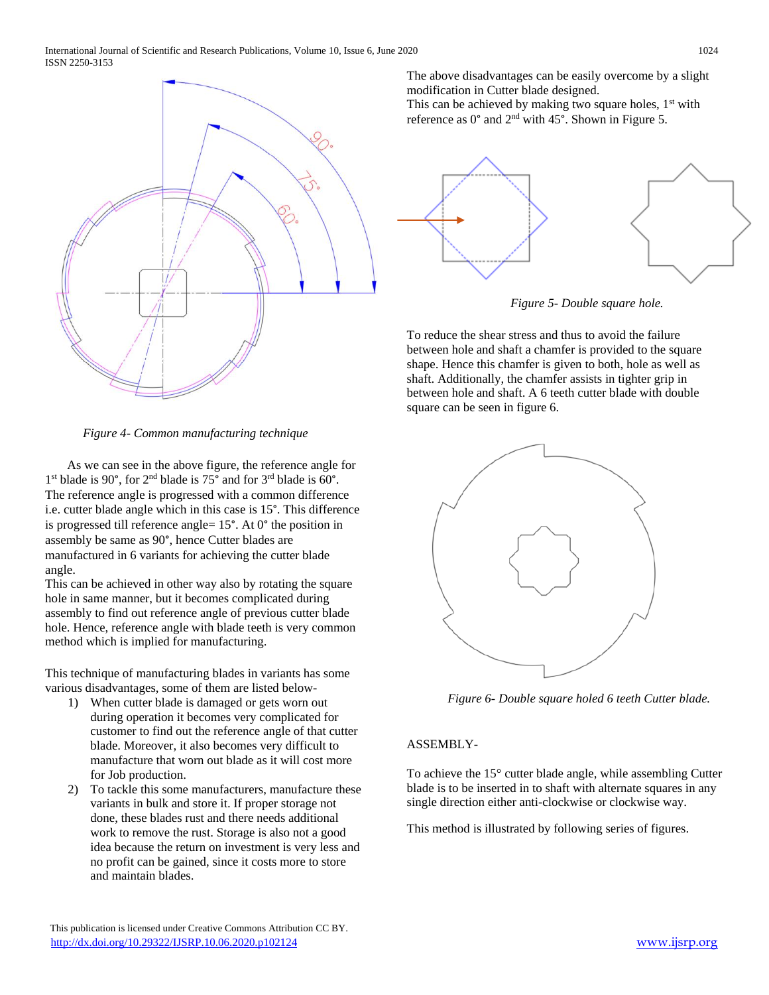

*Figure 4- Common manufacturing technique*

 As we can see in the above figure, the reference angle for 1<sup>st</sup> blade is 90°, for 2<sup>nd</sup> blade is 75° and for 3<sup>rd</sup> blade is 60°. The reference angle is progressed with a common difference i.e. cutter blade angle which in this case is 15°. This difference is progressed till reference angle= 15°. At 0° the position in assembly be same as 90°, hence Cutter blades are manufactured in 6 variants for achieving the cutter blade angle.

This can be achieved in other way also by rotating the square hole in same manner, but it becomes complicated during assembly to find out reference angle of previous cutter blade hole. Hence, reference angle with blade teeth is very common method which is implied for manufacturing.

This technique of manufacturing blades in variants has some various disadvantages, some of them are listed below-

- 1) When cutter blade is damaged or gets worn out during operation it becomes very complicated for customer to find out the reference angle of that cutter blade. Moreover, it also becomes very difficult to manufacture that worn out blade as it will cost more for Job production.
- 2) To tackle this some manufacturers, manufacture these variants in bulk and store it. If proper storage not done, these blades rust and there needs additional work to remove the rust. Storage is also not a good idea because the return on investment is very less and no profit can be gained, since it costs more to store and maintain blades.

The above disadvantages can be easily overcome by a slight modification in Cutter blade designed.

This can be achieved by making two square holes,  $1<sup>st</sup>$  with reference as 0° and 2nd with 45°. Shown in Figure 5.



*Figure 5- Double square hole.*

To reduce the shear stress and thus to avoid the failure between hole and shaft a chamfer is provided to the square shape. Hence this chamfer is given to both, hole as well as shaft. Additionally, the chamfer assists in tighter grip in between hole and shaft. A 6 teeth cutter blade with double square can be seen in figure 6.



*Figure 6- Double square holed 6 teeth Cutter blade.*

# ASSEMBLY-

To achieve the 15° cutter blade angle, while assembling Cutter blade is to be inserted in to shaft with alternate squares in any single direction either anti-clockwise or clockwise way.

This method is illustrated by following series of figures.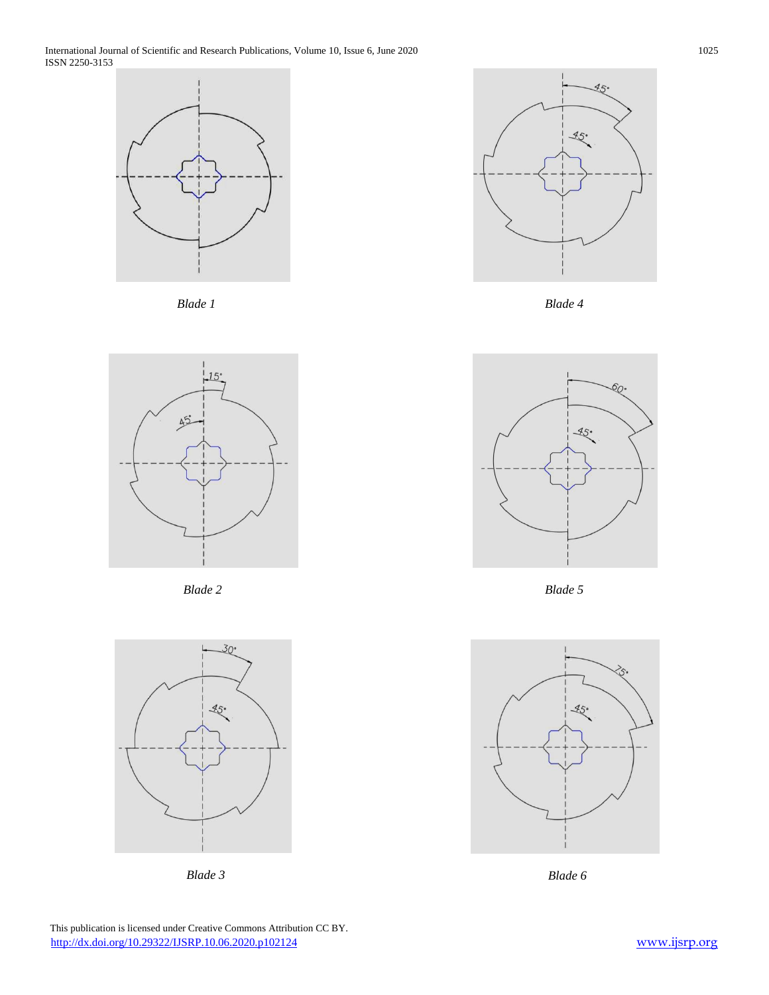International Journal of Scientific and Research Publications, Volume 10, Issue 6, June 2020 1025 ISSN 2250-3153











*Blade 3*



*Blade 4*



*Blade 5*



*Blade 6*

 This publication is licensed under Creative Commons Attribution CC BY. <http://dx.doi.org/10.29322/IJSRP.10.06.2020.p102124> [www.ijsrp.org](http://ijsrp.org/)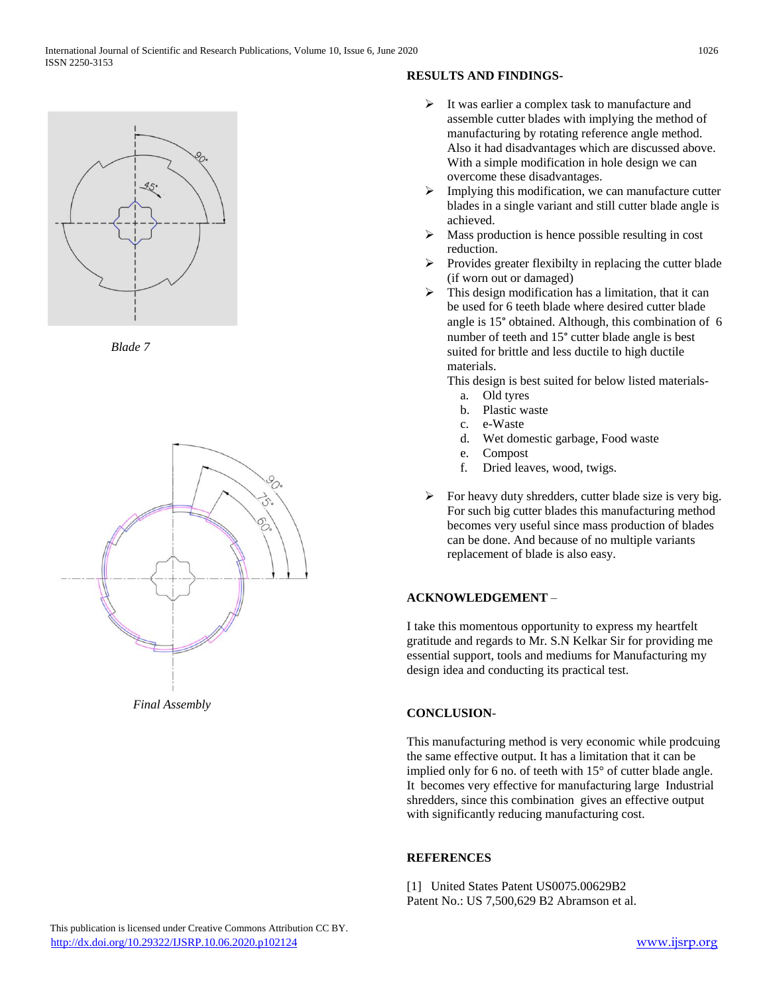

*Blade 7*



*Final Assembly*

# **RESULTS AND FINDINGS-**

- $\triangleright$  It was earlier a complex task to manufacture and assemble cutter blades with implying the method of manufacturing by rotating reference angle method. Also it had disadvantages which are discussed above. With a simple modification in hole design we can overcome these disadvantages.
- $\triangleright$  Implying this modification, we can manufacture cutter blades in a single variant and still cutter blade angle is achieved.
- $\triangleright$  Mass production is hence possible resulting in cost reduction.
- $\triangleright$  Provides greater flexibilty in replacing the cutter blade (if worn out or damaged)
- $\triangleright$  This design modification has a limitation, that it can be used for 6 teeth blade where desired cutter blade angle is 15° obtained. Although, this combination of 6 number of teeth and 15° cutter blade angle is best suited for brittle and less ductile to high ductile materials.

This design is best suited for below listed materials-

- a. Old tyres
- b. Plastic waste
- c. e-Waste
- d. Wet domestic garbage, Food waste
- e. Compost
- f. Dried leaves, wood, twigs.
- $\triangleright$  For heavy duty shredders, cutter blade size is very big. For such big cutter blades this manufacturing method becomes very useful since mass production of blades can be done. And because of no multiple variants replacement of blade is also easy.

# **ACKNOWLEDGEMENT** –

I take this momentous opportunity to express my heartfelt gratitude and regards to Mr. S.N Kelkar Sir for providing me essential support, tools and mediums for Manufacturing my design idea and conducting its practical test.

# **CONCLUSION**-

This manufacturing method is very economic while prodcuing the same effective output. It has a limitation that it can be implied only for 6 no. of teeth with 15° of cutter blade angle. It becomes very effective for manufacturing large Industrial shredders, since this combination gives an effective output with significantly reducing manufacturing cost.

# **REFERENCES**

[1] United States Patent US0075.00629B2 Patent No.: US 7,500,629 B2 Abramson et al.